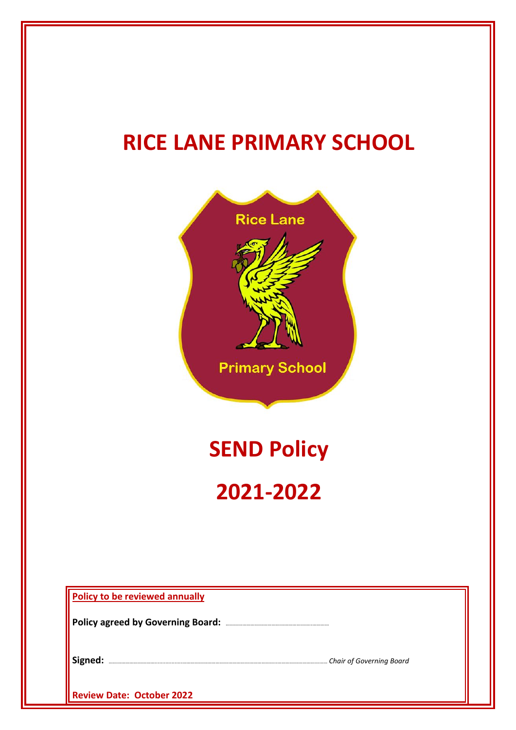# **RICE LANE PRIMARY SCHOOL**



**Policy to be reviewed annually**

**Policy agreed by Governing Board:** ……………………………………………………..…………

**Signed:** ……………………………..................…………………………………………………………..……………………………… *Chair of Governing Board*

**Review Date: October 2022**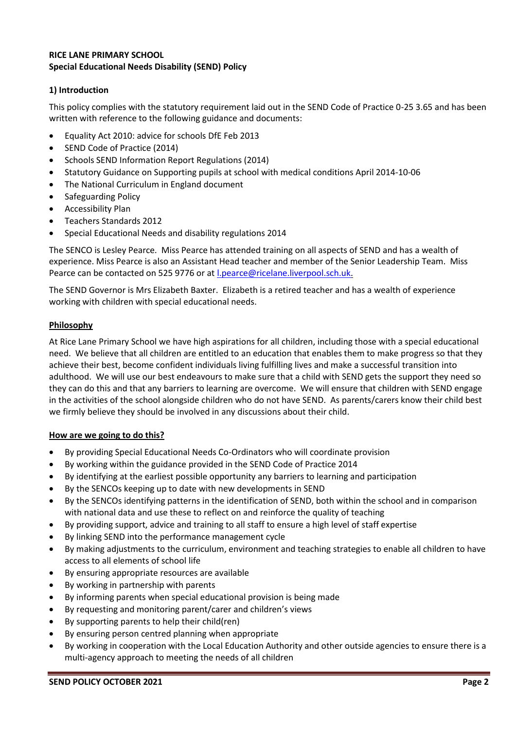# **RICE LANE PRIMARY SCHOOL Special Educational Needs Disability (SEND) Policy**

# **1) Introduction**

This policy complies with the statutory requirement laid out in the SEND Code of Practice 0-25 3.65 and has been written with reference to the following guidance and documents:

- Equality Act 2010: advice for schools DfE Feb 2013
- SEND Code of Practice (2014)
- Schools SEND Information Report Regulations (2014)
- Statutory Guidance on Supporting pupils at school with medical conditions April 2014-10-06
- The National Curriculum in England document
- Safeguarding Policy
- Accessibility Plan
- Teachers Standards 2012
- Special Educational Needs and disability regulations 2014

The SENCO is Lesley Pearce. Miss Pearce has attended training on all aspects of SEND and has a wealth of experience. Miss Pearce is also an Assistant Head teacher and member of the Senior Leadership Team. Miss Pearce can be contacted on 525 9776 or at [l.pearce@ricelane.liverpool.sch.uk.](mailto:l.pearce@ricelane.liverpool.sch.uk)

The SEND Governor is Mrs Elizabeth Baxter. Elizabeth is a retired teacher and has a wealth of experience working with children with special educational needs.

# **Philosophy**

At Rice Lane Primary School we have high aspirations for all children, including those with a special educational need. We believe that all children are entitled to an education that enables them to make progress so that they achieve their best, become confident individuals living fulfilling lives and make a successful transition into adulthood. We will use our best endeavours to make sure that a child with SEND gets the support they need so they can do this and that any barriers to learning are overcome. We will ensure that children with SEND engage in the activities of the school alongside children who do not have SEND. As parents/carers know their child best we firmly believe they should be involved in any discussions about their child.

# **How are we going to do this?**

- By providing Special Educational Needs Co-Ordinators who will coordinate provision
- By working within the guidance provided in the SEND Code of Practice 2014
- By identifying at the earliest possible opportunity any barriers to learning and participation
- By the SENCOs keeping up to date with new developments in SEND
- By the SENCOs identifying patterns in the identification of SEND, both within the school and in comparison with national data and use these to reflect on and reinforce the quality of teaching
- By providing support, advice and training to all staff to ensure a high level of staff expertise
- By linking SEND into the performance management cycle
- By making adjustments to the curriculum, environment and teaching strategies to enable all children to have access to all elements of school life
- By ensuring appropriate resources are available
- By working in partnership with parents
- By informing parents when special educational provision is being made
- By requesting and monitoring parent/carer and children's views
- By supporting parents to help their child(ren)
- By ensuring person centred planning when appropriate
- By working in cooperation with the Local Education Authority and other outside agencies to ensure there is a multi-agency approach to meeting the needs of all children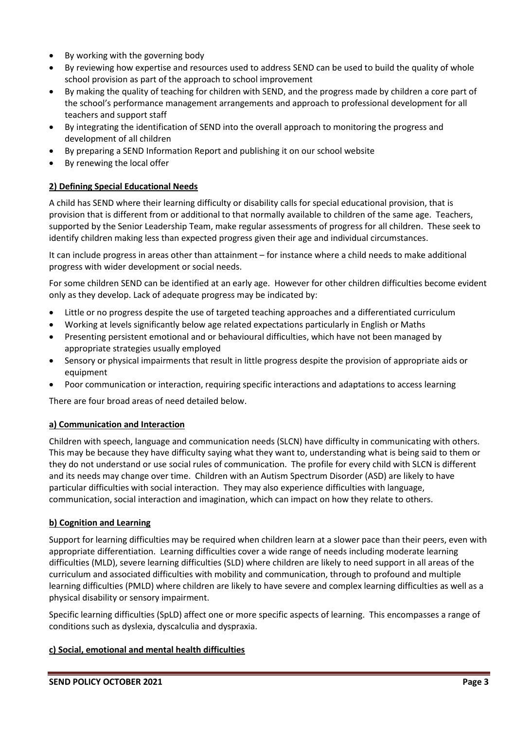- By working with the governing body
- By reviewing how expertise and resources used to address SEND can be used to build the quality of whole school provision as part of the approach to school improvement
- By making the quality of teaching for children with SEND, and the progress made by children a core part of the school's performance management arrangements and approach to professional development for all teachers and support staff
- By integrating the identification of SEND into the overall approach to monitoring the progress and development of all children
- By preparing a SEND Information Report and publishing it on our school website
- By renewing the local offer

# **2) Defining Special Educational Needs**

A child has SEND where their learning difficulty or disability calls for special educational provision, that is provision that is different from or additional to that normally available to children of the same age. Teachers, supported by the Senior Leadership Team, make regular assessments of progress for all children. These seek to identify children making less than expected progress given their age and individual circumstances.

It can include progress in areas other than attainment – for instance where a child needs to make additional progress with wider development or social needs.

For some children SEND can be identified at an early age. However for other children difficulties become evident only as they develop. Lack of adequate progress may be indicated by:

- Little or no progress despite the use of targeted teaching approaches and a differentiated curriculum
- Working at levels significantly below age related expectations particularly in English or Maths
- Presenting persistent emotional and or behavioural difficulties, which have not been managed by appropriate strategies usually employed
- Sensory or physical impairments that result in little progress despite the provision of appropriate aids or equipment
- Poor communication or interaction, requiring specific interactions and adaptations to access learning

There are four broad areas of need detailed below.

# **a) Communication and Interaction**

Children with speech, language and communication needs (SLCN) have difficulty in communicating with others. This may be because they have difficulty saying what they want to, understanding what is being said to them or they do not understand or use social rules of communication. The profile for every child with SLCN is different and its needs may change over time. Children with an Autism Spectrum Disorder (ASD) are likely to have particular difficulties with social interaction. They may also experience difficulties with language, communication, social interaction and imagination, which can impact on how they relate to others.

# **b) Cognition and Learning**

Support for learning difficulties may be required when children learn at a slower pace than their peers, even with appropriate differentiation. Learning difficulties cover a wide range of needs including moderate learning difficulties (MLD), severe learning difficulties (SLD) where children are likely to need support in all areas of the curriculum and associated difficulties with mobility and communication, through to profound and multiple learning difficulties (PMLD) where children are likely to have severe and complex learning difficulties as well as a physical disability or sensory impairment.

Specific learning difficulties (SpLD) affect one or more specific aspects of learning. This encompasses a range of conditions such as dyslexia, dyscalculia and dyspraxia.

# **c) Social, emotional and mental health difficulties**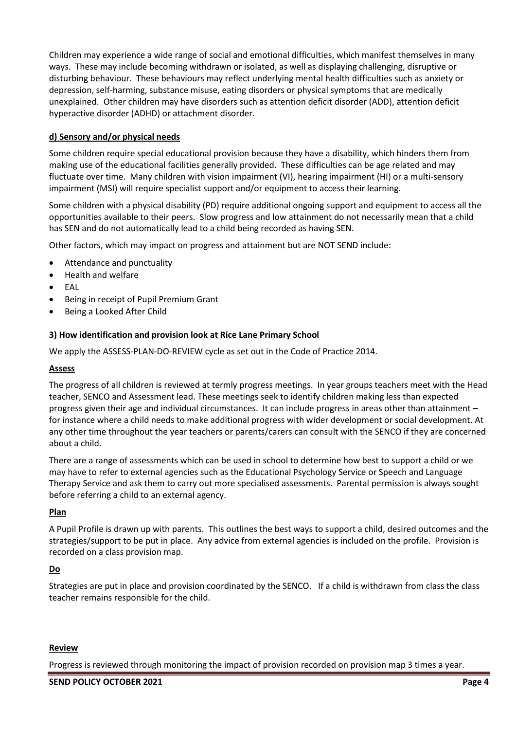Children may experience a wide range of social and emotional difficulties, which manifest themselves in many ways. These may include becoming withdrawn or isolated, as well as displaying challenging, disruptive or disturbing behaviour. These behaviours may reflect underlying mental health difficulties such as anxiety or depression, self-harming, substance misuse, eating disorders or physical symptoms that are medically unexplained. Other children may have disorders such as attention deficit disorder (ADD), attention deficit hyperactive disorder (ADHD) or attachment disorder.

# **d) Sensory and/or physical needs**

Some children require special educational provision because they have a disability, which hinders them from making use of the educational facilities generally provided. These difficulties can be age related and may fluctuate over time. Many children with vision impairment (VI), hearing impairment (HI) or a multi-sensory impairment (MSI) will require specialist support and/or equipment to access their learning.

Some children with a physical disability (PD) require additional ongoing support and equipment to access all the opportunities available to their peers. Slow progress and low attainment do not necessarily mean that a child has SEN and do not automatically lead to a child being recorded as having SEN.

Other factors, which may impact on progress and attainment but are NOT SEND include:

- Attendance and punctuality
- Health and welfare
- EAL
- Being in receipt of Pupil Premium Grant
- Being a Looked After Child

# **3) How identification and provision look at Rice Lane Primary School**

We apply the ASSESS-PLAN-DO-REVIEW cycle as set out in the Code of Practice 2014.

# **Assess**

The progress of all children is reviewed at termly progress meetings. In year groups teachers meet with the Head teacher, SENCO and Assessment lead. These meetings seek to identify children making less than expected progress given their age and individual circumstances. It can include progress in areas other than attainment – for instance where a child needs to make additional progress with wider development or social development. At any other time throughout the year teachers or parents/carers can consult with the SENCO if they are concerned about a child.

There are a range of assessments which can be used in school to determine how best to support a child or we may have to refer to external agencies such as the Educational Psychology Service or Speech and Language Therapy Service and ask them to carry out more specialised assessments. Parental permission is always sought before referring a child to an external agency.

# **Plan**

A Pupil Profile is drawn up with parents. This outlines the best ways to support a child, desired outcomes and the strategies/support to be put in place. Any advice from external agencies is included on the profile. Provision is recorded on a class provision map.

# **Do**

Strategies are put in place and provision coordinated by the SENCO. If a child is withdrawn from class the class teacher remains responsible for the child.

#### **Review**

Progress is reviewed through monitoring the impact of provision recorded on provision map 3 times a year.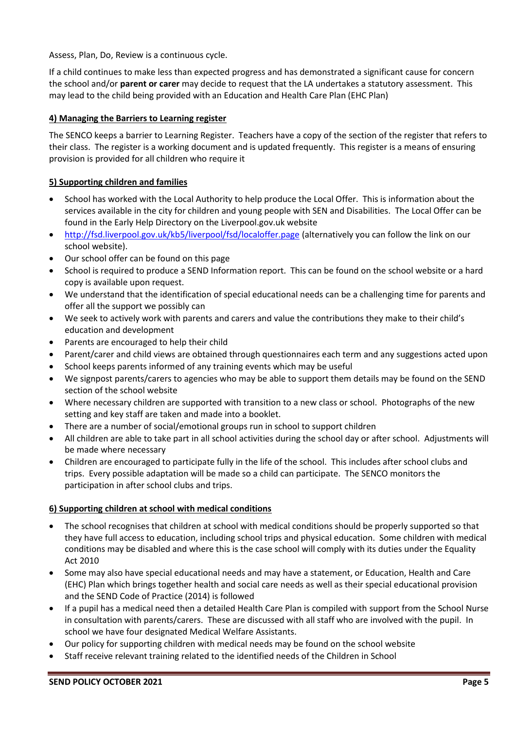Assess, Plan, Do, Review is a continuous cycle.

If a child continues to make less than expected progress and has demonstrated a significant cause for concern the school and/or **parent or carer** may decide to request that the LA undertakes a statutory assessment. This may lead to the child being provided with an Education and Health Care Plan (EHC Plan)

# **4) Managing the Barriers to Learning register**

The SENCO keeps a barrier to Learning Register. Teachers have a copy of the section of the register that refers to their class. The register is a working document and is updated frequently. This register is a means of ensuring provision is provided for all children who require it

# **5) Supporting children and families**

- School has worked with the Local Authority to help produce the Local Offer. This is information about the services available in the city for children and young people with SEN and Disabilities. The Local Offer can be found in the Early Help Directory on the Liverpool.gov.uk website
- <http://fsd.liverpool.gov.uk/kb5/liverpool/fsd/localoffer.page> (alternatively you can follow the link on our school website).
- Our school offer can be found on this page
- School is required to produce a SEND Information report. This can be found on the school website or a hard copy is available upon request.
- We understand that the identification of special educational needs can be a challenging time for parents and offer all the support we possibly can
- We seek to actively work with parents and carers and value the contributions they make to their child's education and development
- Parents are encouraged to help their child
- Parent/carer and child views are obtained through questionnaires each term and any suggestions acted upon
- School keeps parents informed of any training events which may be useful
- We signpost parents/carers to agencies who may be able to support them details may be found on the SEND section of the school website
- Where necessary children are supported with transition to a new class or school. Photographs of the new setting and key staff are taken and made into a booklet.
- There are a number of social/emotional groups run in school to support children
- All children are able to take part in all school activities during the school day or after school. Adjustments will be made where necessary
- Children are encouraged to participate fully in the life of the school. This includes after school clubs and trips. Every possible adaptation will be made so a child can participate. The SENCO monitors the participation in after school clubs and trips.

# **6) Supporting children at school with medical conditions**

- The school recognises that children at school with medical conditions should be properly supported so that they have full access to education, including school trips and physical education. Some children with medical conditions may be disabled and where this is the case school will comply with its duties under the Equality Act 2010
- Some may also have special educational needs and may have a statement, or Education, Health and Care (EHC) Plan which brings together health and social care needs as well as their special educational provision and the SEND Code of Practice (2014) is followed
- If a pupil has a medical need then a detailed Health Care Plan is compiled with support from the School Nurse in consultation with parents/carers. These are discussed with all staff who are involved with the pupil. In school we have four designated Medical Welfare Assistants.
- Our policy for supporting children with medical needs may be found on the school website
- Staff receive relevant training related to the identified needs of the Children in School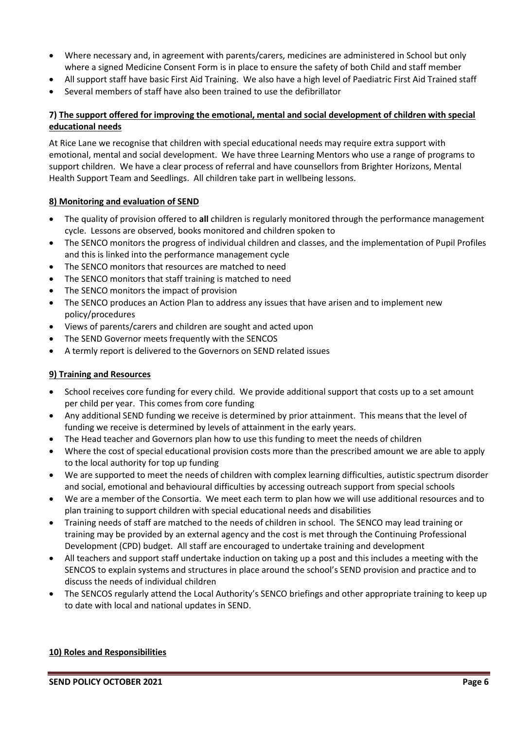- Where necessary and, in agreement with parents/carers, medicines are administered in School but only where a signed Medicine Consent Form is in place to ensure the safety of both Child and staff member
- All support staff have basic First Aid Training. We also have a high level of Paediatric First Aid Trained staff
- Several members of staff have also been trained to use the defibrillator

# **7) The support offered for improving the emotional, mental and social development of children with special educational needs**

At Rice Lane we recognise that children with special educational needs may require extra support with emotional, mental and social development. We have three Learning Mentors who use a range of programs to support children. We have a clear process of referral and have counsellors from Brighter Horizons, Mental Health Support Team and Seedlings. All children take part in wellbeing lessons.

## **8) Monitoring and evaluation of SEND**

- The quality of provision offered to **all** children is regularly monitored through the performance management cycle. Lessons are observed, books monitored and children spoken to
- The SENCO monitors the progress of individual children and classes, and the implementation of Pupil Profiles and this is linked into the performance management cycle
- The SENCO monitors that resources are matched to need
- The SENCO monitors that staff training is matched to need
- The SENCO monitors the impact of provision
- The SENCO produces an Action Plan to address any issues that have arisen and to implement new policy/procedures
- Views of parents/carers and children are sought and acted upon
- The SEND Governor meets frequently with the SENCOS
- A termly report is delivered to the Governors on SEND related issues

# **9) Training and Resources**

- School receives core funding for every child. We provide additional support that costs up to a set amount per child per year. This comes from core funding
- Any additional SEND funding we receive is determined by prior attainment. This means that the level of funding we receive is determined by levels of attainment in the early years.
- The Head teacher and Governors plan how to use this funding to meet the needs of children
- Where the cost of special educational provision costs more than the prescribed amount we are able to apply to the local authority for top up funding
- We are supported to meet the needs of children with complex learning difficulties, autistic spectrum disorder and social, emotional and behavioural difficulties by accessing outreach support from special schools
- We are a member of the Consortia. We meet each term to plan how we will use additional resources and to plan training to support children with special educational needs and disabilities
- Training needs of staff are matched to the needs of children in school. The SENCO may lead training or training may be provided by an external agency and the cost is met through the Continuing Professional Development (CPD) budget. All staff are encouraged to undertake training and development
- All teachers and support staff undertake induction on taking up a post and this includes a meeting with the SENCOS to explain systems and structures in place around the school's SEND provision and practice and to discuss the needs of individual children
- The SENCOS regularly attend the Local Authority's SENCO briefings and other appropriate training to keep up to date with local and national updates in SEND.

#### **10) Roles and Responsibilities**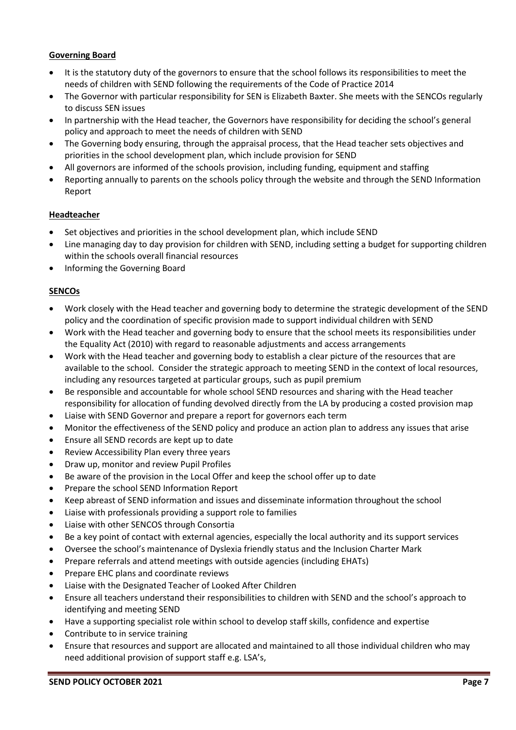# **Governing Board**

- It is the statutory duty of the governors to ensure that the school follows its responsibilities to meet the needs of children with SEND following the requirements of the Code of Practice 2014
- The Governor with particular responsibility for SEN is Elizabeth Baxter. She meets with the SENCOs regularly to discuss SEN issues
- In partnership with the Head teacher, the Governors have responsibility for deciding the school's general policy and approach to meet the needs of children with SEND
- The Governing body ensuring, through the appraisal process, that the Head teacher sets objectives and priorities in the school development plan, which include provision for SEND
- All governors are informed of the schools provision, including funding, equipment and staffing
- Reporting annually to parents on the schools policy through the website and through the SEND Information Report

## **Headteacher**

- Set objectives and priorities in the school development plan, which include SEND
- Line managing day to day provision for children with SEND, including setting a budget for supporting children within the schools overall financial resources
- Informing the Governing Board

## **SENCOs**

- Work closely with the Head teacher and governing body to determine the strategic development of the SEND policy and the coordination of specific provision made to support individual children with SEND
- Work with the Head teacher and governing body to ensure that the school meets its responsibilities under the Equality Act (2010) with regard to reasonable adjustments and access arrangements
- Work with the Head teacher and governing body to establish a clear picture of the resources that are available to the school. Consider the strategic approach to meeting SEND in the context of local resources, including any resources targeted at particular groups, such as pupil premium
- Be responsible and accountable for whole school SEND resources and sharing with the Head teacher responsibility for allocation of funding devolved directly from the LA by producing a costed provision map
- Liaise with SEND Governor and prepare a report for governors each term
- Monitor the effectiveness of the SEND policy and produce an action plan to address any issues that arise
- Ensure all SEND records are kept up to date
- Review Accessibility Plan every three years
- Draw up, monitor and review Pupil Profiles
- Be aware of the provision in the Local Offer and keep the school offer up to date
- Prepare the school SEND Information Report
- Keep abreast of SEND information and issues and disseminate information throughout the school
- Liaise with professionals providing a support role to families
- Liaise with other SENCOS through Consortia
- Be a key point of contact with external agencies, especially the local authority and its support services
- Oversee the school's maintenance of Dyslexia friendly status and the Inclusion Charter Mark
- Prepare referrals and attend meetings with outside agencies (including EHATs)
- Prepare EHC plans and coordinate reviews
- Liaise with the Designated Teacher of Looked After Children
- Ensure all teachers understand their responsibilities to children with SEND and the school's approach to identifying and meeting SEND
- Have a supporting specialist role within school to develop staff skills, confidence and expertise
- Contribute to in service training
- Ensure that resources and support are allocated and maintained to all those individual children who may need additional provision of support staff e.g. LSA's,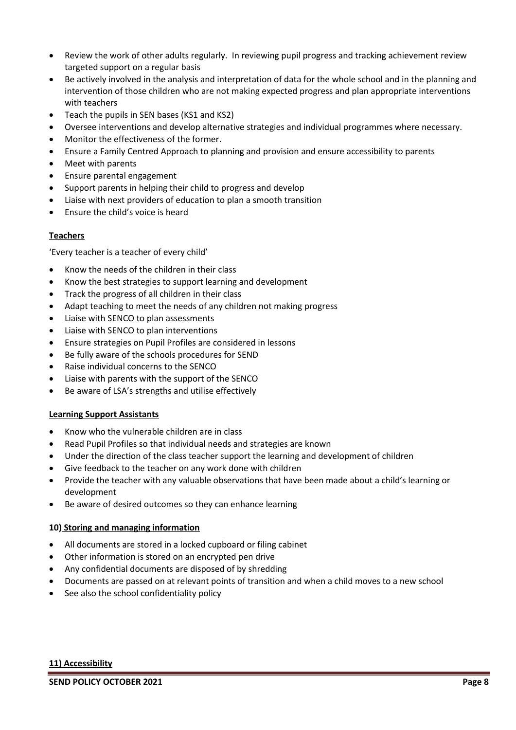- Review the work of other adults regularly. In reviewing pupil progress and tracking achievement review targeted support on a regular basis
- Be actively involved in the analysis and interpretation of data for the whole school and in the planning and intervention of those children who are not making expected progress and plan appropriate interventions with teachers
- Teach the pupils in SEN bases (KS1 and KS2)
- Oversee interventions and develop alternative strategies and individual programmes where necessary.
- Monitor the effectiveness of the former.
- Ensure a Family Centred Approach to planning and provision and ensure accessibility to parents
- Meet with parents
- Ensure parental engagement
- Support parents in helping their child to progress and develop
- Liaise with next providers of education to plan a smooth transition
- Ensure the child's voice is heard

# **Teachers**

'Every teacher is a teacher of every child'

- Know the needs of the children in their class
- Know the best strategies to support learning and development
- Track the progress of all children in their class
- Adapt teaching to meet the needs of any children not making progress
- Liaise with SENCO to plan assessments
- Liaise with SENCO to plan interventions
- Ensure strategies on Pupil Profiles are considered in lessons
- Be fully aware of the schools procedures for SEND
- Raise individual concerns to the SENCO
- Liaise with parents with the support of the SENCO
- Be aware of LSA's strengths and utilise effectively

# **Learning Support Assistants**

- Know who the vulnerable children are in class
- Read Pupil Profiles so that individual needs and strategies are known
- Under the direction of the class teacher support the learning and development of children
- Give feedback to the teacher on any work done with children
- Provide the teacher with any valuable observations that have been made about a child's learning or development
- Be aware of desired outcomes so they can enhance learning

# **10) Storing and managing information**

- All documents are stored in a locked cupboard or filing cabinet
- Other information is stored on an encrypted pen drive
- Any confidential documents are disposed of by shredding
- Documents are passed on at relevant points of transition and when a child moves to a new school
- See also the school confidentiality policy